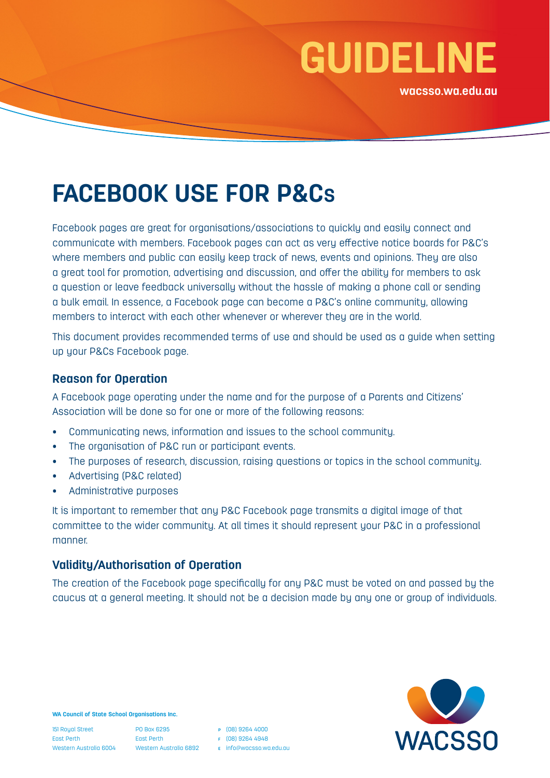

# **FACEBOOK USE FOR P&CS**

Facebook pages are great for organisations/associations to quickly and easily connect and communicate with members. Facebook pages can act as very effective notice boards for P&C's where members and public can easily keep track of news, events and opinions. They are also a great tool for promotion, advertising and discussion, and offer the ability for members to ask a question or leave feedback universally without the hassle of making a phone call or sending a bulk email. In essence, a Facebook page can become a P&C's online community, allowing members to interact with each other whenever or wherever they are in the world.

This document provides recommended terms of use and should be used as a guide when setting up your P&Cs Facebook page.

#### **Reason for Operation**

A Facebook page operating under the name and for the purpose of a Parents and Citizens' Association will be done so for one or more of the following reasons:

- Communicating news, information and issues to the school community.
- The organisation of P&C run or participant events.
- The purposes of research, discussion, raising questions or topics in the school community.
- Advertising (P&C related)
- Administrative purposes

It is important to remember that any P&C Facebook page transmits a digital image of that committee to the wider community. At all times it should represent your P&C in a professional manner.

#### **Validity/Authorisation of Operation**

The creation of the Facebook page specifically for any P&C must be voted on and passed by the caucus at a general meeting. It should not be a decision made by any one or group of individuals.



**WA Council of State School Organisations Inc.**

151 Royal Street East Perth Western Australia 6004

PO Box 6295 East Perth Western Australia 6892 **<sup>p</sup>** (08) 9264 4000 **<sup>f</sup>** (08) 9264 4948

**e** [info@wacsso.wa.edu.au](mailto:info%40wacsso.wa.edu.au?subject=)